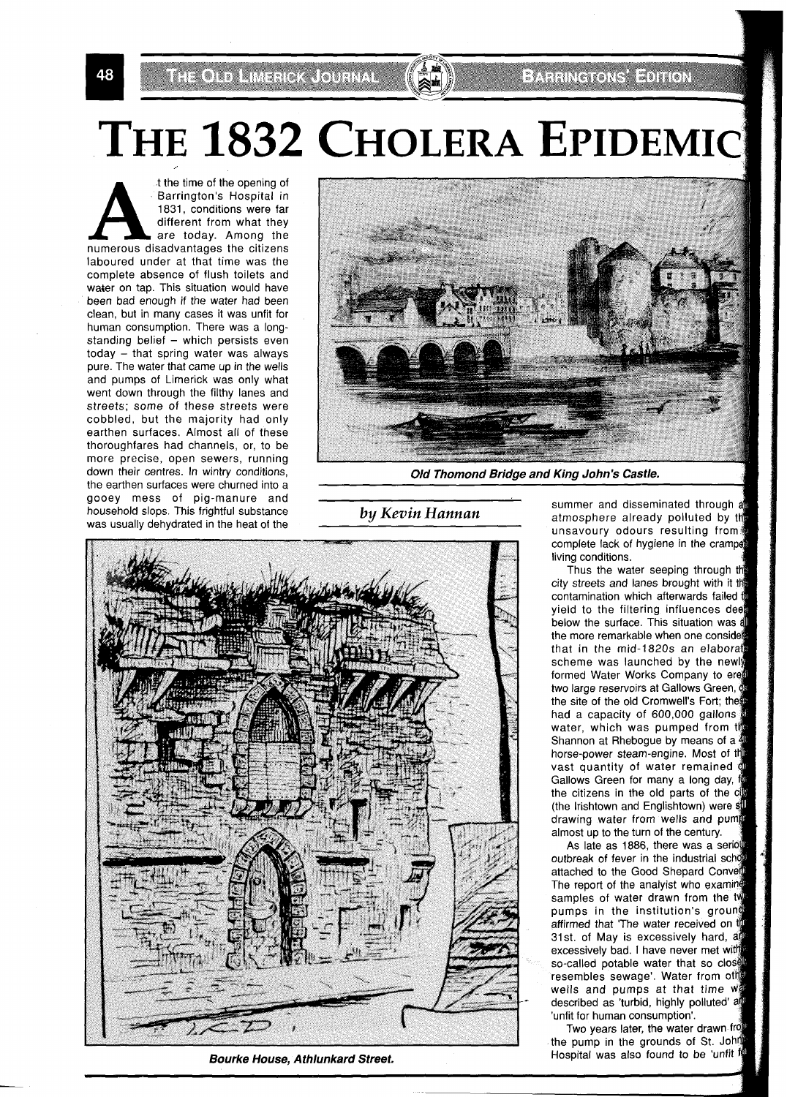THE OLD LIMENCK COURNAL

# E ARTICLE THE T

# THE 1832 CHOLERA EPIDEMIC

t the time of the opening of Barrington's Hospital in 1831, conditions were far different from what they are today. Among the numerous disadvantages the citizens laboured under at that time was the complete absence of flush toilets and water on tap. This situation would have been bad enough if the water had been clean, but in many cases it was unfit for human consumption. There was a longstanding belief  $-$  which persists even today - that spring water was always pure. The water that came up in the wells and pumps of Limerick was only what went down through the filthy lanes and streets; some of these streets were cobbled, but the majority had only earthen surfaces. Almost all of these thoroughfares had channels, or, to be more precise, open sewers, running down their centres. In wintry conditions, the earthen surfaces were churned into a gooey mess of pig-manure and household slops. This frightful substance was usually dehydrated in the heat of the



**Old Thomond Bridge and King John's Castle.** 

*by Kevin Hannan* 



**Bourke House, Athlunkard Street.** 

summer and disseminated through a atmosphere already polluted by t unsavoury odours resulting from complete lack of hygiene in the cramped living conditions.

Thus the water seeping through the city streets and lanes brought with it t contamination which afterwards failed yield to the filtering influences dee below the surface. This situation was a the more remarkable when one consid that in the mid-1820s an elabora scheme was launched by the newly formed Water Works Company to e two large reservoirs at Gallows Green,  $\phi$ the site of the old Cromwell's Fort; the had a capacity of 600,000 gallons water, which was pumped from the Shannon at Rhebogue by means of a horse-power steam-engine. Most of t vast quantity of water remained of Gallows Green for many a long day, i the citizens in the old parts of the c (the Irishtown and Englishtown) were st drawing water from wells and pum almost up to the turn of the century.

As late as 1886, there was a seriou outbreak of fever in the industrial schot attached to the Good Shepard C The report of the analyist who examine samples of water drawn from the tw pumps in the institution's groun affirmed that 'The water received on the 31st. of May is excessively hard, a excessively bad. I have never met with so-called potable water that so close. resembles sewage'. Water from other wells and pumps at that time w described as 'turbid, highly polluted' a 'unfit for human consumption'.

Two years later, the water drawn fr the pump in the grounds of St. Joh Hospital was also found to be 'unfit for

48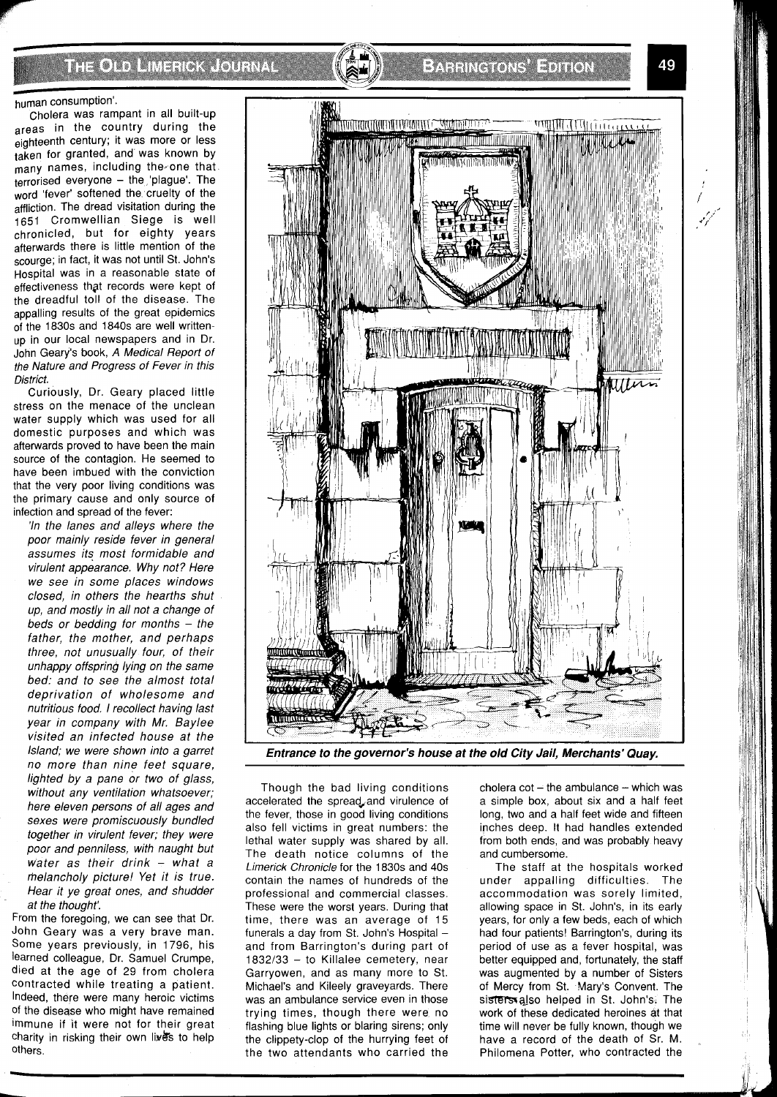### THOTO HARROTHAL

# **EXPENSIVE AND IN**

#### human consumption'.

Cholera was rampant in all built-up areas in the country during the eighteenth century; it was more or less taken for granted, and was known by many names, including the one that.  $terrorised$  everyone  $-$  the  $pla$  plague'. The word 'fever' softened the cruelty of the affliction. The dread visitation during the 1651 Cromwellian Siege is well chronicled, but for eighty years afterwards there is little mention of the scourge; in fact, it was not until St. John's Hospital was in a reasonable state of effectiveness thgt records were kept of the dreadful toll of the disease. The appalling results of the great epidemics of the 1830s and 1840s are well writtenup in our local newspapers and in Dr. John Geary's book, A Medical Report of the Nature and Progress of Fever in this District.

Curiously, Dr. Geary placed little stress on the menace of the unclean water supply which was used for all domestic purposes and which was afterwards proved to have been the main source of the contagion. He seemed to have been imbued with the conviction that the very poor living conditions was the primary cause and only source of infection and spread of the fever:

'In the lanes and alleys where the poor mainly reside fever in general assumes its most formidable and virulent appearance. Why not? Here we see in some places windows closed, in others the hearths shut up, and mostly in all not a change of beds or bedding for months  $-$  the father, the mother, and perhaps three, not unusually four, of their unhappy offspring lying on the same bed: and to see the almost total deprivation of wholesome and nutritious food. I recollect having last year in company with Mr. Baylee visited an infected house at the Island; we were shown into a garret no more than nine feet square, lighted by a pane or two of glass, without any ventilation whatsoever; here eleven persons of all ages and sexes were promiscuously bundled together in virulent fever; they were poor and penniless, with naught but water as their drink  $-$  what a rhelancholy picture! Yet it is true. Hear it ye great ones, and shudder at the thought:

From the foregoing, we can see that Dr. John Geary was a very brave man. Some years previously, in 1796, his learned colleague, Dr. Samuel Crumpe, died at the age of 29 from cholera contracted while treating a patient. Indeed, there were many heroic victims of the disease who might have remained immune if it were not for their great charity in risking their own lives to help others.



**Entrance to the governor's house at the old City Jail, Merchants' Quay.** 

Though the bad living conditions accelerated the spread,and virulence of the fever, those in good living conditions also fell victims in great numbers: the lethal water supply was shared by all. The death notice columns of the Limerick Chronicle for the 1830s and 40s contain the names of hundreds of the professional and commercial classes. These were the worst years. During that time, there was an average of 15 funerals a day from St. John's Hospital and from Barrington's during part of 1832/33 - to Killalee cemetery, near Garryowen, and as many more to St. Michael's and Kileely graveyards. There was an ambulance service even in those trying times, though there were no flashing blue lights or blaring sirens; only the clippety-clop of the hurrying feet of the two attendants who carried the

cholera  $cot - the$  ambulance  $-$  which was a simple box, about six and a half feet long, two and a half feet wide and fifteen inches deep. It had handles extended from both ends, and was probably heavy and cumbersome.

The staff at the hospitals worked under appalling difficulties. The accommodation was sorely limited, allowing space in St. John's, in its early years, for only a few beds, each of which had four patients! Barrington's, during its period of use as a fever hospital, was better equipped and, fortunately, the staff was augmented by a number of Sisters of Mercy from St. Mary's Convent. The sisters also helped in St. John's. The work of these dedicated heroines at that time will never be fully known, though we have a record of the death of Sr. M. Philomena Potter, who contracted the